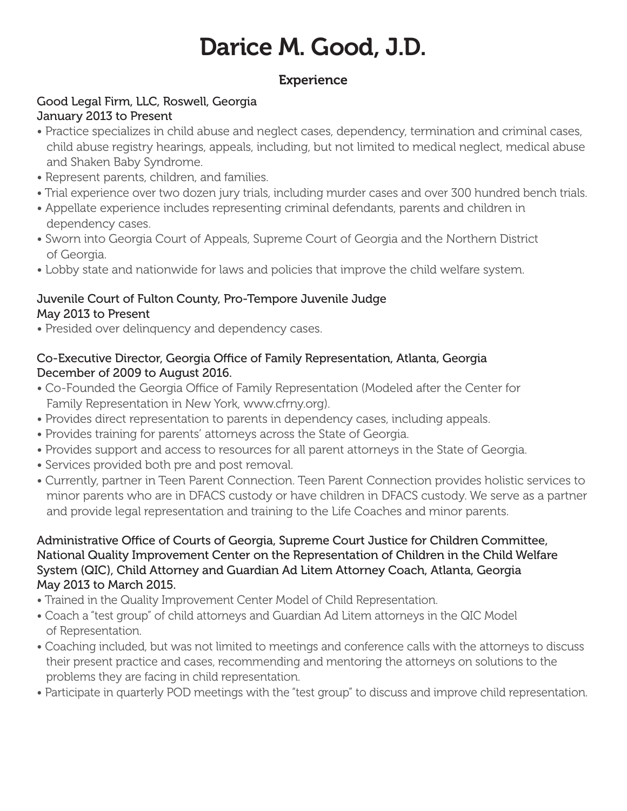# Darice M. Good, J.D.

# **Experience**

## Good Legal Firm, LLC, Roswell, Georgia January 2013 to Present

- Practice specializes in child abuse and neglect cases, dependency, termination and criminal cases, child abuse registry hearings, appeals, including, but not limited to medical neglect, medical abuse and Shaken Baby Syndrome.
- Represent parents, children, and families.
- Trial experience over two dozen jury trials, including murder cases and over 300 hundred bench trials.
- Appellate experience includes representing criminal defendants, parents and children in dependency cases.
- Sworn into Georgia Court of Appeals, Supreme Court of Georgia and the Northern District of Georgia.
- Lobby state and nationwide for laws and policies that improve the child welfare system.

#### Juvenile Court of Fulton County, Pro-Tempore Juvenile Judge May 2013 to Present

• Presided over delinquency and dependency cases.

#### Co-Executive Director, Georgia Office of Family Representation, Atlanta, Georgia December of 2009 to August 2016.

- Co-Founded the Georgia Office of Family Representation (Modeled after the Center for Family Representation in New York, www.cfrny.org).
- Provides direct representation to parents in dependency cases, including appeals.
- Provides training for parents' attorneys across the State of Georgia.
- Provides support and access to resources for all parent attorneys in the State of Georgia.
- Services provided both pre and post removal.
- Currently, partner in Teen Parent Connection. Teen Parent Connection provides holistic services to minor parents who are in DFACS custody or have children in DFACS custody. We serve as a partner and provide legal representation and training to the Life Coaches and minor parents.

#### Administrative Office of Courts of Georgia, Supreme Court Justice for Children Committee, National Quality Improvement Center on the Representation of Children in the Child Welfare System (QIC), Child Attorney and Guardian Ad Litem Attorney Coach, Atlanta, Georgia May 2013 to March 2015.

- Trained in the Quality Improvement Center Model of Child Representation.
- Coach a "test group" of child attorneys and Guardian Ad Litem attorneys in the QIC Model of Representation.
- Coaching included, but was not limited to meetings and conference calls with the attorneys to discuss their present practice and cases, recommending and mentoring the attorneys on solutions to the problems they are facing in child representation.
- Participate in quarterly POD meetings with the "test group" to discuss and improve child representation.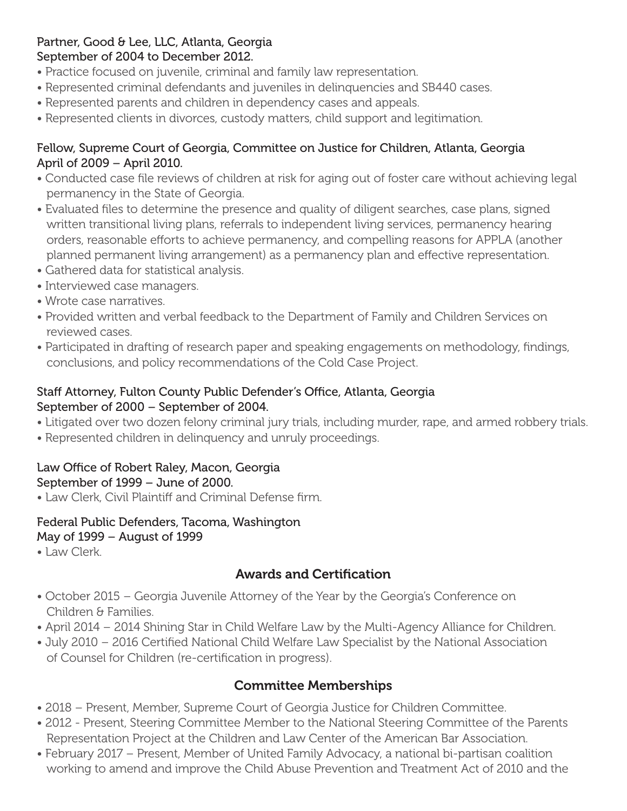#### Partner, Good & Lee, LLC, Atlanta, Georgia September of 2004 to December 2012.

- Practice focused on juvenile, criminal and family law representation.
- Represented criminal defendants and juveniles in delinquencies and SB440 cases.
- Represented parents and children in dependency cases and appeals.
- Represented clients in divorces, custody matters, child support and legitimation.

## Fellow, Supreme Court of Georgia, Committee on Justice for Children, Atlanta, Georgia April of 2009 – April 2010.

- Conducted case file reviews of children at risk for aging out of foster care without achieving legal permanency in the State of Georgia.
- Evaluated files to determine the presence and quality of diligent searches, case plans, signed written transitional living plans, referrals to independent living services, permanency hearing orders, reasonable efforts to achieve permanency, and compelling reasons for APPLA (another planned permanent living arrangement) as a permanency plan and effective representation.
- Gathered data for statistical analysis.
- Interviewed case managers.
- Wrote case narratives.
- Provided written and verbal feedback to the Department of Family and Children Services on reviewed cases.
- Participated in drafting of research paper and speaking engagements on methodology, findings, conclusions, and policy recommendations of the Cold Case Project.

## Staff Attorney, Fulton County Public Defender's Office, Atlanta, Georgia September of 2000 – September of 2004.

- Litigated over two dozen felony criminal jury trials, including murder, rape, and armed robbery trials.
- Represented children in delinquency and unruly proceedings.

## Law Office of Robert Raley, Macon, Georgia September of 1999 – June of 2000.

• Law Clerk, Civil Plaintiff and Criminal Defense firm.

## Federal Public Defenders, Tacoma, Washington

- May of 1999 August of 1999
- Law Clerk.

# Awards and Certification

- October 2015 Georgia Juvenile Attorney of the Year by the Georgia's Conference on Children & Families.
- April 2014 2014 Shining Star in Child Welfare Law by the Multi-Agency Alliance for Children.
- July 2010 2016 Certified National Child Welfare Law Specialist by the National Association of Counsel for Children (re-certification in progress).

# Committee Memberships

- 2018 Present, Member, Supreme Court of Georgia Justice for Children Committee.
- 2012 Present, Steering Committee Member to the National Steering Committee of the Parents Representation Project at the Children and Law Center of the American Bar Association.
- February 2017 Present, Member of United Family Advocacy, a national bi-partisan coalition working to amend and improve the Child Abuse Prevention and Treatment Act of 2010 and the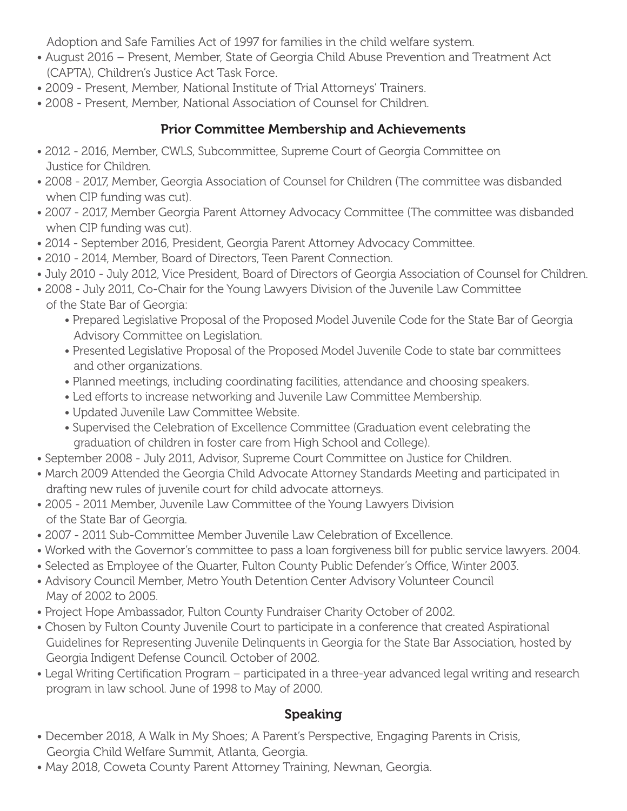Adoption and Safe Families Act of 1997 for families in the child welfare system.

- August 2016 Present, Member, State of Georgia Child Abuse Prevention and Treatment Act (CAPTA), Children's Justice Act Task Force.
- 2009 Present, Member, National Institute of Trial Attorneys' Trainers.
- 2008 Present, Member, National Association of Counsel for Children.

# Prior Committee Membership and Achievements

- 2012 2016, Member, CWLS, Subcommittee, Supreme Court of Georgia Committee on Justice for Children.
- 2008 2017, Member, Georgia Association of Counsel for Children (The committee was disbanded when CIP funding was cut).
- 2007 2017, Member Georgia Parent Attorney Advocacy Committee (The committee was disbanded when CIP funding was cut).
- 2014 September 2016, President, Georgia Parent Attorney Advocacy Committee.
- 2010 2014, Member, Board of Directors, Teen Parent Connection.
- July 2010 July 2012, Vice President, Board of Directors of Georgia Association of Counsel for Children.
- 2008 July 2011, Co-Chair for the Young Lawyers Division of the Juvenile Law Committee of the State Bar of Georgia:
	- Prepared Legislative Proposal of the Proposed Model Juvenile Code for the State Bar of Georgia Advisory Committee on Legislation.
	- Presented Legislative Proposal of the Proposed Model Juvenile Code to state bar committees and other organizations.
	- Planned meetings, including coordinating facilities, attendance and choosing speakers.
	- Led efforts to increase networking and Juvenile Law Committee Membership.
	- Updated Juvenile Law Committee Website.
	- Supervised the Celebration of Excellence Committee (Graduation event celebrating the graduation of children in foster care from High School and College).
- September 2008 July 2011, Advisor, Supreme Court Committee on Justice for Children.
- March 2009 Attended the Georgia Child Advocate Attorney Standards Meeting and participated in drafting new rules of juvenile court for child advocate attorneys.
- 2005 2011 Member, Juvenile Law Committee of the Young Lawyers Division of the State Bar of Georgia.
- 2007 2011 Sub-Committee Member Juvenile Law Celebration of Excellence.
- Worked with the Governor's committee to pass a loan forgiveness bill for public service lawyers. 2004.
- Selected as Employee of the Quarter, Fulton County Public Defender's Office, Winter 2003.
- Advisory Council Member, Metro Youth Detention Center Advisory Volunteer Council May of 2002 to 2005.
- Project Hope Ambassador, Fulton County Fundraiser Charity October of 2002.
- Chosen by Fulton County Juvenile Court to participate in a conference that created Aspirational Guidelines for Representing Juvenile Delinquents in Georgia for the State Bar Association, hosted by Georgia Indigent Defense Council. October of 2002.
- Legal Writing Certification Program participated in a three-year advanced legal writing and research program in law school. June of 1998 to May of 2000.

# Speaking

- December 2018, A Walk in My Shoes; A Parent's Perspective, Engaging Parents in Crisis, Georgia Child Welfare Summit, Atlanta, Georgia.
- May 2018, Coweta County Parent Attorney Training, Newnan, Georgia.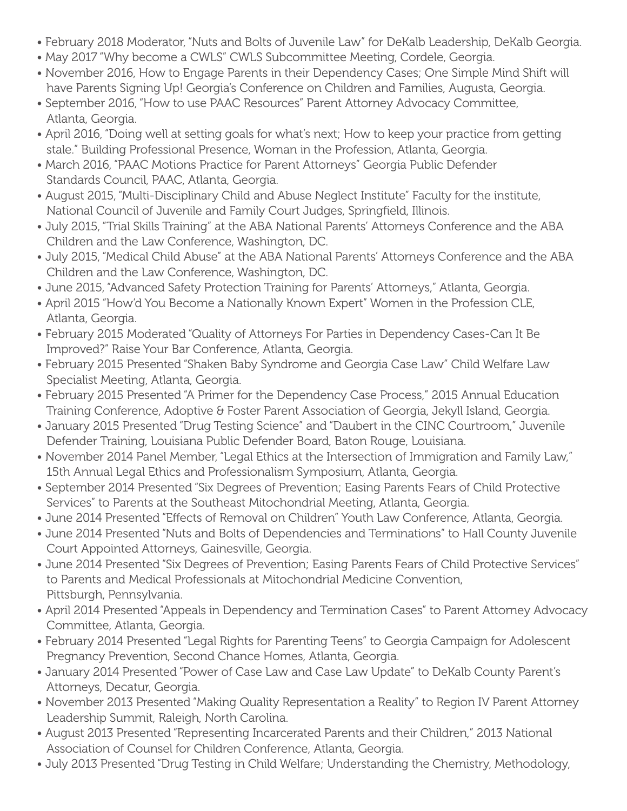- February 2018 Moderator, "Nuts and Bolts of Juvenile Law" for DeKalb Leadership, DeKalb Georgia.
- May 2017 "Why become a CWLS" CWLS Subcommittee Meeting, Cordele, Georgia.
- November 2016, How to Engage Parents in their Dependency Cases; One Simple Mind Shift will have Parents Signing Up! Georgia's Conference on Children and Families, Augusta, Georgia.
- September 2016, "How to use PAAC Resources" Parent Attorney Advocacy Committee, Atlanta, Georgia.
- April 2016, "Doing well at setting goals for what's next; How to keep your practice from getting stale." Building Professional Presence, Woman in the Profession, Atlanta, Georgia.
- March 2016, "PAAC Motions Practice for Parent Attorneys" Georgia Public Defender Standards Council, PAAC, Atlanta, Georgia.
- August 2015, "Multi-Disciplinary Child and Abuse Neglect Institute" Faculty for the institute, National Council of Juvenile and Family Court Judges, Springfield, Illinois.
- July 2015, "Trial Skills Training" at the ABA National Parents' Attorneys Conference and the ABA Children and the Law Conference, Washington, DC.
- July 2015, "Medical Child Abuse" at the ABA National Parents' Attorneys Conference and the ABA Children and the Law Conference, Washington, DC.
- June 2015, "Advanced Safety Protection Training for Parents' Attorneys," Atlanta, Georgia.
- April 2015 "How'd You Become a Nationally Known Expert" Women in the Profession CLE, Atlanta, Georgia.
- February 2015 Moderated "Quality of Attorneys For Parties in Dependency Cases-Can It Be Improved?" Raise Your Bar Conference, Atlanta, Georgia.
- February 2015 Presented "Shaken Baby Syndrome and Georgia Case Law" Child Welfare Law Specialist Meeting, Atlanta, Georgia.
- February 2015 Presented "A Primer for the Dependency Case Process," 2015 Annual Education Training Conference, Adoptive & Foster Parent Association of Georgia, Jekyll Island, Georgia.
- January 2015 Presented "Drug Testing Science" and "Daubert in the CINC Courtroom," Juvenile Defender Training, Louisiana Public Defender Board, Baton Rouge, Louisiana.
- November 2014 Panel Member, "Legal Ethics at the Intersection of Immigration and Family Law," 15th Annual Legal Ethics and Professionalism Symposium, Atlanta, Georgia.
- September 2014 Presented "Six Degrees of Prevention; Easing Parents Fears of Child Protective Services" to Parents at the Southeast Mitochondrial Meeting, Atlanta, Georgia.
- June 2014 Presented "Effects of Removal on Children" Youth Law Conference, Atlanta, Georgia.
- June 2014 Presented "Nuts and Bolts of Dependencies and Terminations" to Hall County Juvenile Court Appointed Attorneys, Gainesville, Georgia.
- June 2014 Presented "Six Degrees of Prevention; Easing Parents Fears of Child Protective Services" to Parents and Medical Professionals at Mitochondrial Medicine Convention, Pittsburgh, Pennsylvania.
- April 2014 Presented "Appeals in Dependency and Termination Cases" to Parent Attorney Advocacy Committee, Atlanta, Georgia.
- February 2014 Presented "Legal Rights for Parenting Teens" to Georgia Campaign for Adolescent Pregnancy Prevention, Second Chance Homes, Atlanta, Georgia.
- January 2014 Presented "Power of Case Law and Case Law Update" to DeKalb County Parent's Attorneys, Decatur, Georgia.
- November 2013 Presented "Making Quality Representation a Reality" to Region IV Parent Attorney Leadership Summit, Raleigh, North Carolina.
- August 2013 Presented "Representing Incarcerated Parents and their Children," 2013 National Association of Counsel for Children Conference, Atlanta, Georgia.
- July 2013 Presented "Drug Testing in Child Welfare; Understanding the Chemistry, Methodology,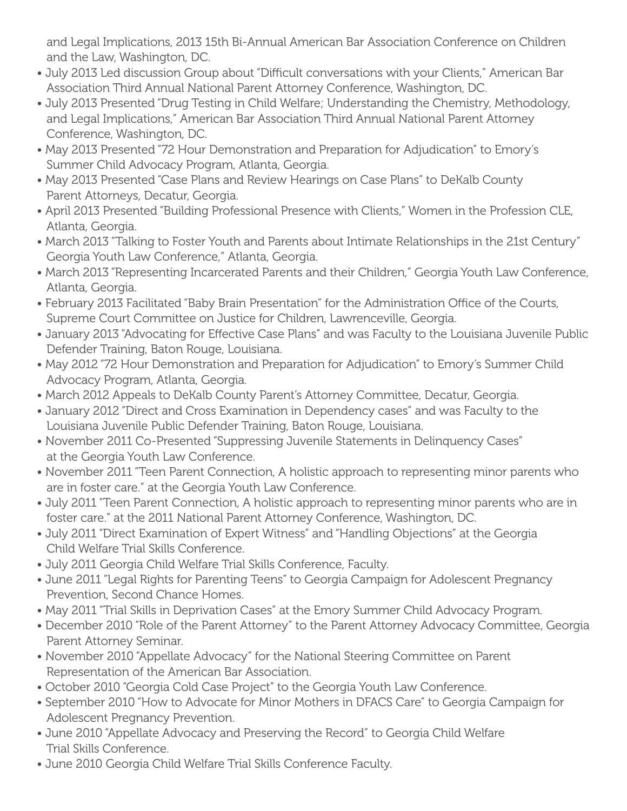and Legal Implications, 2013 15th Bi-Annual American Bar Association Conference on Children and the Law, Washington, DC.

- July 2013 Led discussion Group about "Difficult conversations with your Clients," American Bar Association Third Annual National Parent Attorney Conference, Washington, DC.
- July 2013 Presented "Drug Testing in Child Welfare; Understanding the Chemistry, Methodology, and Legal Implications," American Bar Association Third Annual National Parent Attorney Conference, Washington, DC.
- May 2013 Presented "72 Hour Demonstration and Preparation for Adjudication" to Emory's Summer Child Advocacy Program, Atlanta, Georgia.
- May 2013 Presented "Case Plans and Review Hearings on Case Plans" to DeKalb County Parent Attorneys, Decatur, Georgia.
- April 2013 Presented "Building Professional Presence with Clients," Women in the Profession CLE, Atlanta, Georgia.
- March 2013 "Talking to Foster Youth and Parents about Intimate Relationships in the 21st Century" Georgia Youth Law Conference," Atlanta, Georgia.
- March 2013 "Representing Incarcerated Parents and their Children," Georgia Youth Law Conference, Atlanta, Georgia.
- February 2013 Facilitated "Baby Brain Presentation" for the Administration Office of the Courts, Supreme Court Committee on Justice for Children, Lawrenceville, Georgia.
- January 2013 "Advocating for Effective Case Plans" and was Faculty to the Louisiana Juvenile Public Defender Training, Baton Rouge, Louisiana.
- May 2012 "72 Hour Demonstration and Preparation for Adjudication" to Emory's Summer Child Advocacy Program, Atlanta, Georgia.
- March 2012 Appeals to DeKalb County Parent's Attorney Committee, Decatur, Georgia.
- January 2012 "Direct and Cross Examination in Dependency cases" and was Faculty to the Louisiana Juvenile Public Defender Training, Baton Rouge, Louisiana.
- November 2011 Co-Presented "Suppressing Juvenile Statements in Delinquency Cases" at the Georgia Youth Law Conference.
- November 2011 "Teen Parent Connection, A holistic approach to representing minor parents who are in foster care." at the Georgia Youth Law Conference.
- July 2011 "Teen Parent Connection, A holistic approach to representing minor parents who are in foster care." at the 2011 National Parent Attorney Conference, Washington, DC.
- July 2011 "Direct Examination of Expert Witness" and "Handling Objections" at the Georgia Child Welfare Trial Skills Conference.
- July 2011 Georgia Child Welfare Trial Skills Conference, Faculty.
- June 2011 "Legal Rights for Parenting Teens" to Georgia Campaign for Adolescent Pregnancy Prevention, Second Chance Homes.
- May 2011 "Trial Skills in Deprivation Cases" at the Emory Summer Child Advocacy Program.
- December 2010 "Role of the Parent Attorney" to the Parent Attorney Advocacy Committee, Georgia Parent Attorney Seminar.
- November 2010 "Appellate Advocacy" for the National Steering Committee on Parent Representation of the American Bar Association.
- October 2010 "Georgia Cold Case Project" to the Georgia Youth Law Conference.
- September 2010 "How to Advocate for Minor Mothers in DFACS Care" to Georgia Campaign for Adolescent Pregnancy Prevention.
- June 2010 "Appellate Advocacy and Preserving the Record" to Georgia Child Welfare Trial Skills Conference.
- June 2010 Georgia Child Welfare Trial Skills Conference Faculty.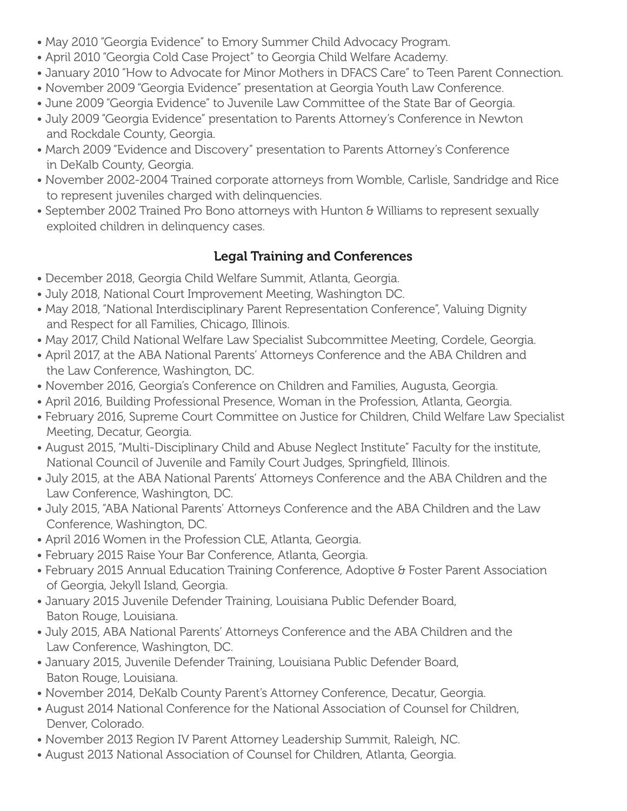- May 2010 "Georgia Evidence" to Emory Summer Child Advocacy Program.
- April 2010 "Georgia Cold Case Project" to Georgia Child Welfare Academy.
- January 2010 "How to Advocate for Minor Mothers in DFACS Care" to Teen Parent Connection.
- November 2009 "Georgia Evidence" presentation at Georgia Youth Law Conference.
- June 2009 "Georgia Evidence" to Juvenile Law Committee of the State Bar of Georgia.
- July 2009 "Georgia Evidence" presentation to Parents Attorney's Conference in Newton and Rockdale County, Georgia.
- March 2009 "Evidence and Discovery" presentation to Parents Attorney's Conference in DeKalb County, Georgia.
- November 2002-2004 Trained corporate attorneys from Womble, Carlisle, Sandridge and Rice to represent juveniles charged with delinquencies.
- September 2002 Trained Pro Bono attorneys with Hunton & Williams to represent sexually exploited children in delinquency cases.

# Legal Training and Conferences

- December 2018, Georgia Child Welfare Summit, Atlanta, Georgia.
- July 2018, National Court Improvement Meeting, Washington DC.
- May 2018, "National Interdisciplinary Parent Representation Conference", Valuing Dignity and Respect for all Families, Chicago, Illinois.
- May 2017, Child National Welfare Law Specialist Subcommittee Meeting, Cordele, Georgia.
- April 2017, at the ABA National Parents' Attorneys Conference and the ABA Children and the Law Conference, Washington, DC.
- November 2016, Georgia's Conference on Children and Families, Augusta, Georgia.
- April 2016, Building Professional Presence, Woman in the Profession, Atlanta, Georgia.
- February 2016, Supreme Court Committee on Justice for Children, Child Welfare Law Specialist Meeting, Decatur, Georgia.
- August 2015, "Multi-Disciplinary Child and Abuse Neglect Institute" Faculty for the institute, National Council of Juvenile and Family Court Judges, Springfield, Illinois.
- July 2015, at the ABA National Parents' Attorneys Conference and the ABA Children and the Law Conference, Washington, DC.
- July 2015, "ABA National Parents' Attorneys Conference and the ABA Children and the Law Conference, Washington, DC.
- April 2016 Women in the Profession CLE, Atlanta, Georgia.
- February 2015 Raise Your Bar Conference, Atlanta, Georgia.
- February 2015 Annual Education Training Conference, Adoptive & Foster Parent Association of Georgia, Jekyll Island, Georgia.
- January 2015 Juvenile Defender Training, Louisiana Public Defender Board, Baton Rouge, Louisiana.
- July 2015, ABA National Parents' Attorneys Conference and the ABA Children and the Law Conference, Washington, DC.
- January 2015, Juvenile Defender Training, Louisiana Public Defender Board, Baton Rouge, Louisiana.
- November 2014, DeKalb County Parent's Attorney Conference, Decatur, Georgia.
- August 2014 National Conference for the National Association of Counsel for Children, Denver, Colorado.
- November 2013 Region IV Parent Attorney Leadership Summit, Raleigh, NC.
- August 2013 National Association of Counsel for Children, Atlanta, Georgia.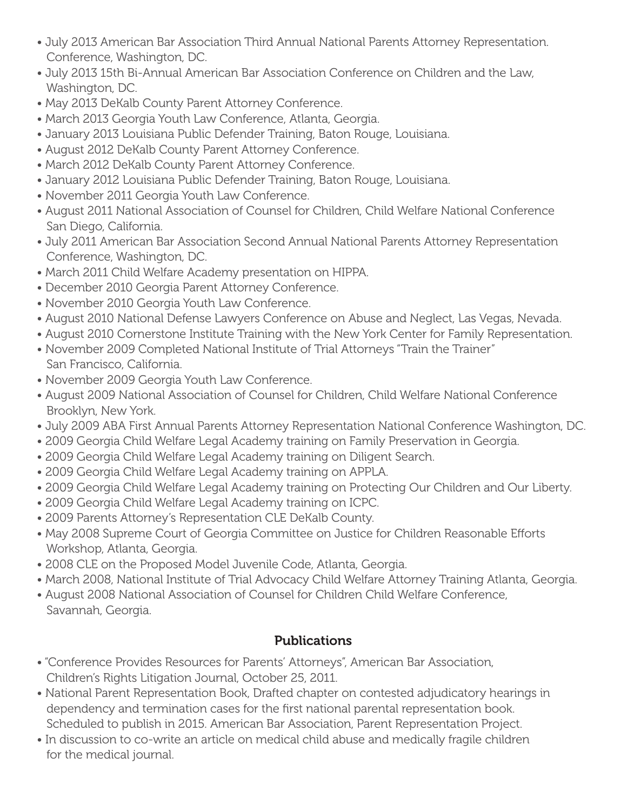- July 2013 American Bar Association Third Annual National Parents Attorney Representation. Conference, Washington, DC.
- July 2013 15th Bi-Annual American Bar Association Conference on Children and the Law, Washington, DC.
- May 2013 DeKalb County Parent Attorney Conference.
- March 2013 Georgia Youth Law Conference, Atlanta, Georgia.
- January 2013 Louisiana Public Defender Training, Baton Rouge, Louisiana.
- August 2012 DeKalb County Parent Attorney Conference.
- March 2012 DeKalb County Parent Attorney Conference.
- January 2012 Louisiana Public Defender Training, Baton Rouge, Louisiana.
- November 2011 Georgia Youth Law Conference.
- August 2011 National Association of Counsel for Children, Child Welfare National Conference San Diego, California.
- July 2011 American Bar Association Second Annual National Parents Attorney Representation Conference, Washington, DC.
- March 2011 Child Welfare Academy presentation on HIPPA.
- December 2010 Georgia Parent Attorney Conference.
- November 2010 Georgia Youth Law Conference.
- August 2010 National Defense Lawyers Conference on Abuse and Neglect, Las Vegas, Nevada.
- August 2010 Cornerstone Institute Training with the New York Center for Family Representation.
- November 2009 Completed National Institute of Trial Attorneys "Train the Trainer" San Francisco, California.
- November 2009 Georgia Youth Law Conference.
- August 2009 National Association of Counsel for Children, Child Welfare National Conference Brooklyn, New York.
- July 2009 ABA First Annual Parents Attorney Representation National Conference Washington, DC.
- 2009 Georgia Child Welfare Legal Academy training on Family Preservation in Georgia.
- 2009 Georgia Child Welfare Legal Academy training on Diligent Search.
- 2009 Georgia Child Welfare Legal Academy training on APPLA.
- 2009 Georgia Child Welfare Legal Academy training on Protecting Our Children and Our Liberty.
- 2009 Georgia Child Welfare Legal Academy training on ICPC.
- 2009 Parents Attorney's Representation CLE DeKalb County.
- May 2008 Supreme Court of Georgia Committee on Justice for Children Reasonable Efforts Workshop, Atlanta, Georgia.
- 2008 CLE on the Proposed Model Juvenile Code, Atlanta, Georgia.
- March 2008, National Institute of Trial Advocacy Child Welfare Attorney Training Atlanta, Georgia.
- August 2008 National Association of Counsel for Children Child Welfare Conference, Savannah, Georgia.

# Publications

- "Conference Provides Resources for Parents' Attorneys", American Bar Association, Children's Rights Litigation Journal, October 25, 2011.
- National Parent Representation Book, Drafted chapter on contested adjudicatory hearings in dependency and termination cases for the first national parental representation book. Scheduled to publish in 2015. American Bar Association, Parent Representation Project.
- In discussion to co-write an article on medical child abuse and medically fragile children for the medical journal.